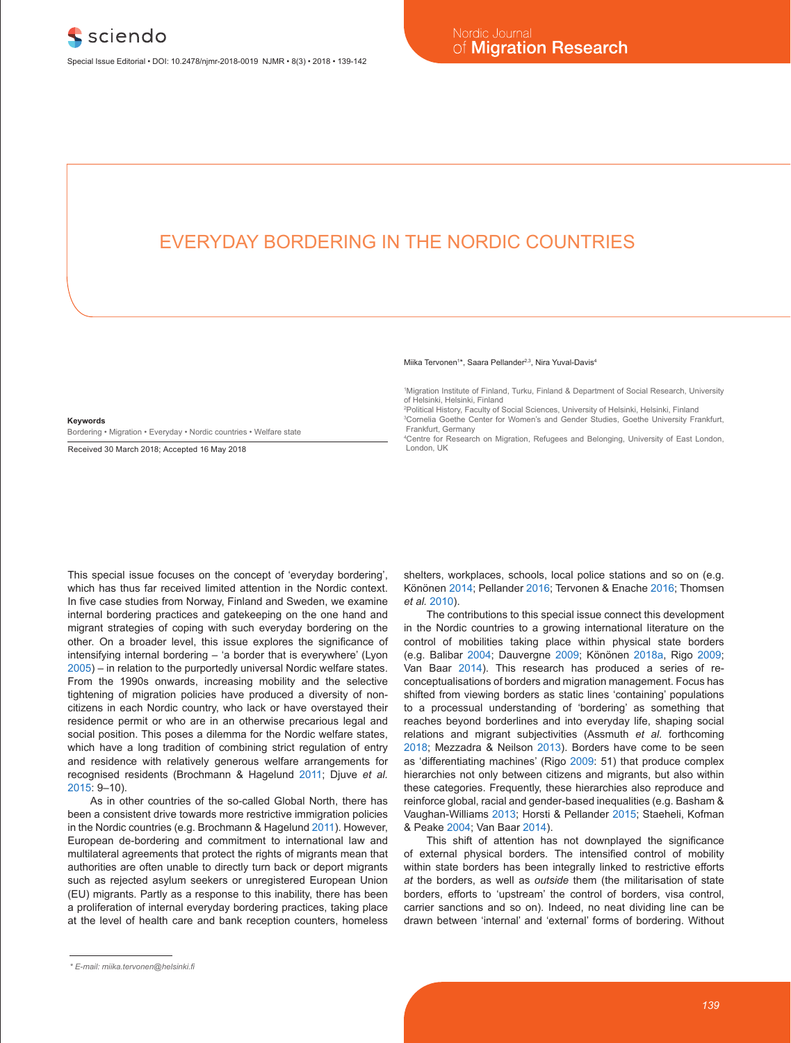## EVERYDAY BORDERING IN THE NORDIC COUNTRIES

#### **Keywords**

Bordering • Migration • Everyday • Nordic countries • Welfare state

Received 30 March 2018; Accepted 16 May 2018

#### Miika Tervonen<sup>1\*</sup>, Saara Pellander<sup>2,3</sup>, Nira Yuval-Davis<sup>4</sup>

1 Migration Institute of Finland, Turku, Finland & Department of Social Research, University of Helsinki, Helsinki, Finland

2 Political History, Faculty of Social Sciences, University of Helsinki, Helsinki, Finland 3 Cornelia Goethe Center for Women's and Gender Studies, Goethe University Frankfurt,

 Frankfurt, Germany 4 Centre for Research on Migration, Refugees and Belonging, University of East London, London, UK

This special issue focuses on the concept of 'everyday bordering', which has thus far received limited attention in the Nordic context. In five case studies from Norway, Finland and Sweden, we examine internal bordering practices and gatekeeping on the one hand and migrant strategies of coping with such everyday bordering on the other. On a broader level, this issue explores the significance of intensifying internal bordering – 'a border that is everywhere' (Lyon 2005) – in relation to the purportedly universal Nordic welfare states. From the 1990s onwards, increasing mobility and the selective tightening of migration policies have produced a diversity of noncitizens in each Nordic country, who lack or have overstayed their residence permit or who are in an otherwise precarious legal and social position. This poses a dilemma for the Nordic welfare states, which have a long tradition of combining strict regulation of entry and residence with relatively generous welfare arrangements for recognised residents (Brochmann & Hagelund 2011; Djuve *et al.* 2015: 9–10).

As in other countries of the so-called Global North, there has been a consistent drive towards more restrictive immigration policies in the Nordic countries (e.g. Brochmann & Hagelund 2011). However, European de-bordering and commitment to international law and multilateral agreements that protect the rights of migrants mean that authorities are often unable to directly turn back or deport migrants such as rejected asylum seekers or unregistered European Union (EU) migrants. Partly as a response to this inability, there has been a proliferation of internal everyday bordering practices, taking place at the level of health care and bank reception counters, homeless

shelters, workplaces, schools, local police stations and so on (e.g. Könönen 2014; Pellander 2016; Tervonen & Enache 2016; Thomsen *et al.* 2010).

The contributions to this special issue connect this development in the Nordic countries to a growing international literature on the control of mobilities taking place within physical state borders (e.g. Balibar 2004; Dauvergne 2009; Könönen 2018a, Rigo 2009; Van Baar 2014). This research has produced a series of reconceptualisations of borders and migration management. Focus has shifted from viewing borders as static lines 'containing' populations to a processual understanding of 'bordering' as something that reaches beyond borderlines and into everyday life, shaping social relations and migrant subjectivities (Assmuth *et al.* forthcoming 2018; Mezzadra & Neilson 2013). Borders have come to be seen as 'differentiating machines' (Rigo 2009: 51) that produce complex hierarchies not only between citizens and migrants, but also within these categories. Frequently, these hierarchies also reproduce and reinforce global, racial and gender-based inequalities (e.g. Basham & Vaughan-Williams 2013; Horsti & Pellander 2015; Staeheli, Kofman & Peake 2004; Van Baar 2014).

This shift of attention has not downplayed the significance of external physical borders. The intensified control of mobility within state borders has been integrally linked to restrictive efforts *at* the borders, as well as *outside* them (the militarisation of state borders, efforts to 'upstream' the control of borders, visa control, carrier sanctions and so on). Indeed, no neat dividing line can be drawn between 'internal' and 'external' forms of bordering. Without

*<sup>\*</sup> E-mail: miika.tervonen@helsinki.fi*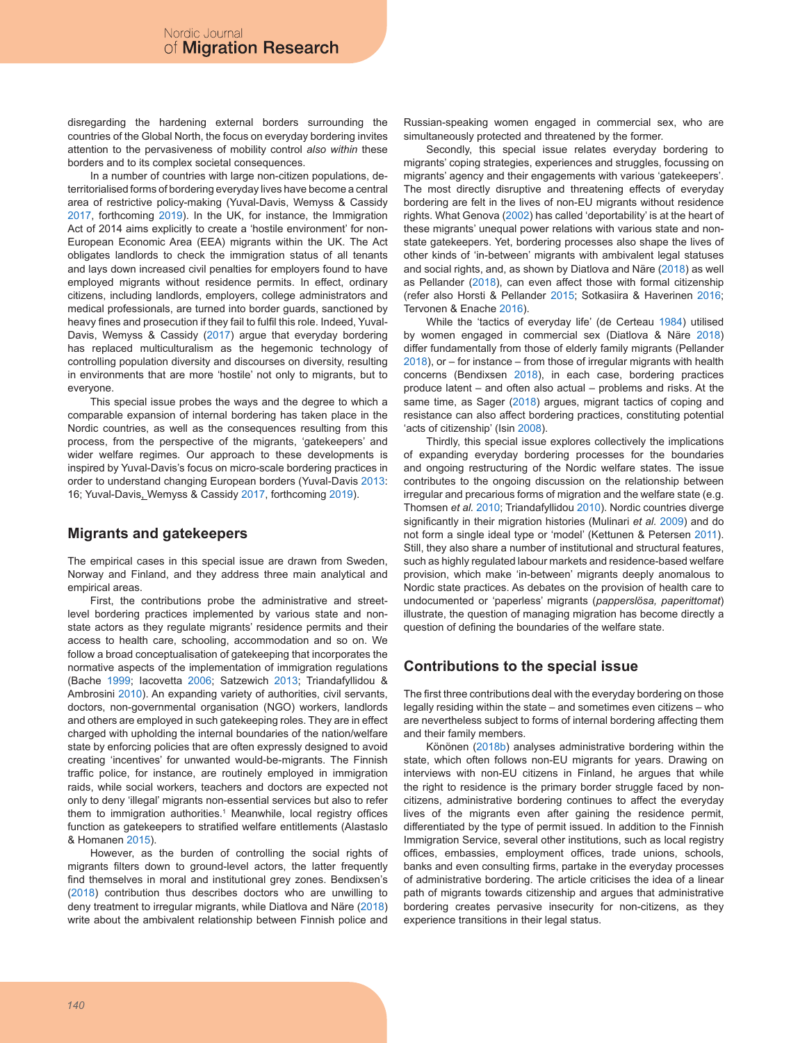disregarding the hardening external borders surrounding the countries of the Global North, the focus on everyday bordering invites attention to the pervasiveness of mobility control *also within* these borders and to its complex societal consequences.

In a number of countries with large non-citizen populations, deterritorialised forms of bordering everyday lives have become a central area of restrictive policy-making (Yuval-Davis, Wemyss & Cassidy 2017, forthcoming 2019). In the UK, for instance, the Immigration Act of 2014 aims explicitly to create a 'hostile environment' for non-European Economic Area (EEA) migrants within the UK. The Act obligates landlords to check the immigration status of all tenants and lays down increased civil penalties for employers found to have employed migrants without residence permits. In effect, ordinary citizens, including landlords, employers, college administrators and medical professionals, are turned into border guards, sanctioned by heavy fines and prosecution if they fail to fulfil this role. Indeed, Yuval-Davis, Wemyss & Cassidy (2017) argue that everyday bordering has replaced multiculturalism as the hegemonic technology of controlling population diversity and discourses on diversity, resulting in environments that are more 'hostile' not only to migrants, but to everyone.

This special issue probes the ways and the degree to which a comparable expansion of internal bordering has taken place in the Nordic countries, as well as the consequences resulting from this process, from the perspective of the migrants, 'gatekeepers' and wider welfare regimes. Our approach to these developments is inspired by Yuval-Davis's focus on micro-scale bordering practices in order to understand changing European borders (Yuval-Davis 2013: 16; Yuval-Davis, Wemyss & Cassidy 2017, forthcoming 2019).

### **Migrants and gatekeepers**

The empirical cases in this special issue are drawn from Sweden, Norway and Finland, and they address three main analytical and empirical areas.

First, the contributions probe the administrative and streetlevel bordering practices implemented by various state and nonstate actors as they regulate migrants' residence permits and their access to health care, schooling, accommodation and so on. We follow a broad conceptualisation of gatekeeping that incorporates the normative aspects of the implementation of immigration regulations (Bache 1999; Iacovetta 2006; Satzewich 2013; Triandafyllidou & Ambrosini 2010). An expanding variety of authorities, civil servants, doctors, non-governmental organisation (NGO) workers, landlords and others are employed in such gatekeeping roles. They are in effect charged with upholding the internal boundaries of the nation/welfare state by enforcing policies that are often expressly designed to avoid creating 'incentives' for unwanted would-be-migrants. The Finnish traffic police, for instance, are routinely employed in immigration raids, while social workers, teachers and doctors are expected not only to deny 'illegal' migrants non-essential services but also to refer them to immigration authorities.<sup>1</sup> Meanwhile, local registry offices function as gatekeepers to stratified welfare entitlements (Alastaslo & Homanen 2015).

However, as the burden of controlling the social rights of migrants filters down to ground-level actors, the latter frequently find themselves in moral and institutional grey zones. Bendixsen's (2018) contribution thus describes doctors who are unwilling to deny treatment to irregular migrants, while Diatlova and Näre (2018) write about the ambivalent relationship between Finnish police and Russian-speaking women engaged in commercial sex, who are simultaneously protected and threatened by the former.

Secondly, this special issue relates everyday bordering to migrants' coping strategies, experiences and struggles, focussing on migrants' agency and their engagements with various 'gatekeepers'. The most directly disruptive and threatening effects of everyday bordering are felt in the lives of non-EU migrants without residence rights. What Genova (2002) has called 'deportability' is at the heart of these migrants' unequal power relations with various state and nonstate gatekeepers. Yet, bordering processes also shape the lives of other kinds of 'in-between' migrants with ambivalent legal statuses and social rights, and, as shown by Diatlova and Näre (2018) as well as Pellander (2018), can even affect those with formal citizenship (refer also Horsti & Pellander 2015; Sotkasiira & Haverinen 2016; Tervonen & Enache 2016).

While the 'tactics of everyday life' (de Certeau 1984) utilised by women engaged in commercial sex (Diatlova & Näre 2018) differ fundamentally from those of elderly family migrants (Pellander 2018), or – for instance – from those of irregular migrants with health concerns (Bendixsen 2018), in each case, bordering practices produce latent – and often also actual – problems and risks. At the same time, as Sager (2018) argues, migrant tactics of coping and resistance can also affect bordering practices, constituting potential 'acts of citizenship' (Isin 2008).

Thirdly, this special issue explores collectively the implications of expanding everyday bordering processes for the boundaries and ongoing restructuring of the Nordic welfare states. The issue contributes to the ongoing discussion on the relationship between irregular and precarious forms of migration and the welfare state (e.g. Thomsen *et al.* 2010; Triandafyllidou 2010). Nordic countries diverge significantly in their migration histories (Mulinari *et al.* 2009) and do not form a single ideal type or 'model' (Kettunen & Petersen 2011). Still, they also share a number of institutional and structural features, such as highly regulated labour markets and residence-based welfare provision, which make 'in-between' migrants deeply anomalous to Nordic state practices. As debates on the provision of health care to undocumented or 'paperless' migrants (*papperslösa, paperittomat*) illustrate, the question of managing migration has become directly a question of defining the boundaries of the welfare state.

## **Contributions to the special issue**

The first three contributions deal with the everyday bordering on those legally residing within the state – and sometimes even citizens – who are nevertheless subject to forms of internal bordering affecting them and their family members.

Könönen (2018b) analyses administrative bordering within the state, which often follows non-EU migrants for years. Drawing on interviews with non-EU citizens in Finland, he argues that while the right to residence is the primary border struggle faced by noncitizens, administrative bordering continues to affect the everyday lives of the migrants even after gaining the residence permit, differentiated by the type of permit issued. In addition to the Finnish Immigration Service, several other institutions, such as local registry offices, embassies, employment offices, trade unions, schools, banks and even consulting firms, partake in the everyday processes of administrative bordering. The article criticises the idea of a linear path of migrants towards citizenship and argues that administrative bordering creates pervasive insecurity for non-citizens, as they experience transitions in their legal status.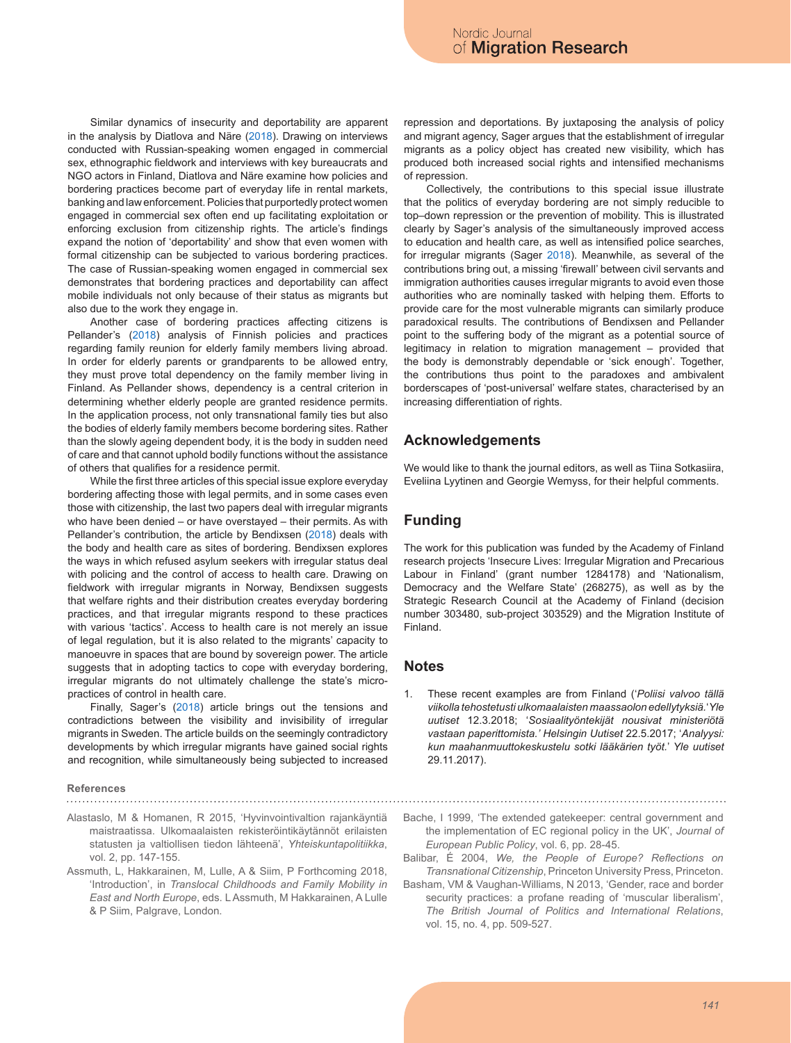Similar dynamics of insecurity and deportability are apparent in the analysis by Diatlova and Näre (2018). Drawing on interviews conducted with Russian-speaking women engaged in commercial sex, ethnographic fieldwork and interviews with key bureaucrats and NGO actors in Finland, Diatlova and Näre examine how policies and bordering practices become part of everyday life in rental markets, banking and law enforcement. Policies that purportedly protect women engaged in commercial sex often end up facilitating exploitation or enforcing exclusion from citizenship rights. The article's findings expand the notion of 'deportability' and show that even women with formal citizenship can be subjected to various bordering practices. The case of Russian-speaking women engaged in commercial sex demonstrates that bordering practices and deportability can affect mobile individuals not only because of their status as migrants but also due to the work they engage in.

Another case of bordering practices affecting citizens is Pellander's (2018) analysis of Finnish policies and practices regarding family reunion for elderly family members living abroad. In order for elderly parents or grandparents to be allowed entry, they must prove total dependency on the family member living in Finland. As Pellander shows, dependency is a central criterion in determining whether elderly people are granted residence permits. In the application process, not only transnational family ties but also the bodies of elderly family members become bordering sites. Rather than the slowly ageing dependent body, it is the body in sudden need of care and that cannot uphold bodily functions without the assistance of others that qualifies for a residence permit.

While the first three articles of this special issue explore everyday bordering affecting those with legal permits, and in some cases even those with citizenship, the last two papers deal with irregular migrants who have been denied – or have overstayed – their permits. As with Pellander's contribution, the article by Bendixsen (2018) deals with the body and health care as sites of bordering. Bendixsen explores the ways in which refused asylum seekers with irregular status deal with policing and the control of access to health care. Drawing on fieldwork with irregular migrants in Norway, Bendixsen suggests that welfare rights and their distribution creates everyday bordering practices, and that irregular migrants respond to these practices with various 'tactics'. Access to health care is not merely an issue of legal regulation, but it is also related to the migrants' capacity to manoeuvre in spaces that are bound by sovereign power. The article suggests that in adopting tactics to cope with everyday bordering, irregular migrants do not ultimately challenge the state's micropractices of control in health care.

Finally, Sager's (2018) article brings out the tensions and contradictions between the visibility and invisibility of irregular migrants in Sweden. The article builds on the seemingly contradictory developments by which irregular migrants have gained social rights and recognition, while simultaneously being subjected to increased

# **References**

- Alastaslo, M & Homanen, R 2015, 'Hyvinvointivaltion rajankäyntiä maistraatissa. Ulkomaalaisten rekisteröintikäytännöt erilaisten statusten ja valtiollisen tiedon lähteenä', *Yhteiskuntapolitiikka*, vol. 2, pp. 147-155.
- Assmuth, L, Hakkarainen, M, Lulle, A & Siim, P Forthcoming 2018, 'Introduction', in *Translocal Childhoods and Family Mobility in East and North Europe*, eds. L Assmuth, M Hakkarainen, A Lulle & P Siim, Palgrave, London.

repression and deportations. By juxtaposing the analysis of policy and migrant agency, Sager argues that the establishment of irregular migrants as a policy object has created new visibility, which has produced both increased social rights and intensified mechanisms of repression.

Collectively, the contributions to this special issue illustrate that the politics of everyday bordering are not simply reducible to top–down repression or the prevention of mobility. This is illustrated clearly by Sager's analysis of the simultaneously improved access to education and health care, as well as intensified police searches, for irregular migrants (Sager 2018). Meanwhile, as several of the contributions bring out, a missing 'firewall' between civil servants and immigration authorities causes irregular migrants to avoid even those authorities who are nominally tasked with helping them. Efforts to provide care for the most vulnerable migrants can similarly produce paradoxical results. The contributions of Bendixsen and Pellander point to the suffering body of the migrant as a potential source of legitimacy in relation to migration management – provided that the body is demonstrably dependable or 'sick enough'. Together, the contributions thus point to the paradoxes and ambivalent borderscapes of 'post-universal' welfare states, characterised by an increasing differentiation of rights.

### **Acknowledgements**

We would like to thank the journal editors, as well as Tiina Sotkasiira, Eveliina Lyytinen and Georgie Wemyss, for their helpful comments.

#### **Funding**

The work for this publication was funded by the Academy of Finland research projects 'Insecure Lives: Irregular Migration and Precarious Labour in Finland' (grant number 1284178) and 'Nationalism, Democracy and the Welfare State' (268275), as well as by the Strategic Research Council at the Academy of Finland (decision number 303480, sub-project 303529) and the Migration Institute of Finland.

#### **Notes**

- 1. These recent examples are from Finland ('*Poliisi valvoo tällä viikolla tehostetusti ulkomaalaisten maassaolon edellytyksiä.*'*Yle uutiset* 12.3.2018; '*Sosiaalityöntekijät nousivat ministeriötä vastaan paperittomista.' Helsingin Uutiset* 22.5.2017; '*Analyysi: kun maahanmuuttokeskustelu sotki lääkärien työt.*' *Yle uutiset* 29.11.2017).
- Bache, I 1999, 'The extended gatekeeper: central government and the implementation of EC regional policy in the UK', *Journal of European Public Policy*, vol. 6, pp. 28-45.
- Balibar, É 2004, *We, the People of Europe? Reflections on Transnational Citizenship*, Princeton University Press, Princeton.
- Basham, VM & Vaughan-Williams, N 2013, 'Gender, race and border security practices: a profane reading of 'muscular liberalism', *The British Journal of Politics and International Relations*, vol. 15, no. 4, pp. 509-527.